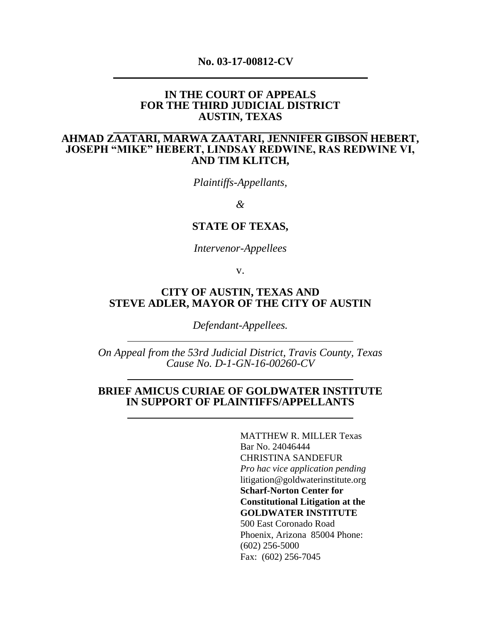#### **No. 03-17-00812-CV**

#### **IN THE COURT OF APPEALS FOR THE THIRD JUDICIAL DISTRICT AUSTIN, TEXAS**

# **AHMAD ZAATARI, MARWA ZAATARI, JENNIFER GIBSON HEBERT, JOSEPH "MIKE" HEBERT, LINDSAY REDWINE, RAS REDWINE VI, AND TIM KLITCH,**

*Plaintiffs-Appellants,*

*&*

#### **STATE OF TEXAS,**

*Intervenor-Appellees*

v.

## **CITY OF AUSTIN, TEXAS AND STEVE ADLER, MAYOR OF THE CITY OF AUSTIN**

*Defendant-Appellees.*

*On Appeal from the 53rd Judicial District, Travis County, Texas Cause No. D-1-GN-16-00260-CV*

## **BRIEF AMICUS CURIAE OF GOLDWATER INSTITUTE IN SUPPORT OF PLAINTIFFS/APPELLANTS**

MATTHEW R. MILLER Texas Bar No. 24046444 CHRISTINA SANDEFUR *Pro hac vice application pending*  [litigation@goldwaterinstitute.org](mailto:litigation@goldwaterinstitute.org) **Scharf-Norton Center for Constitutional Litigation at the GOLDWATER INSTITUTE**  500 East Coronado Road Phoenix, Arizona 85004 Phone: (602) 256-5000 Fax: (602) 256-7045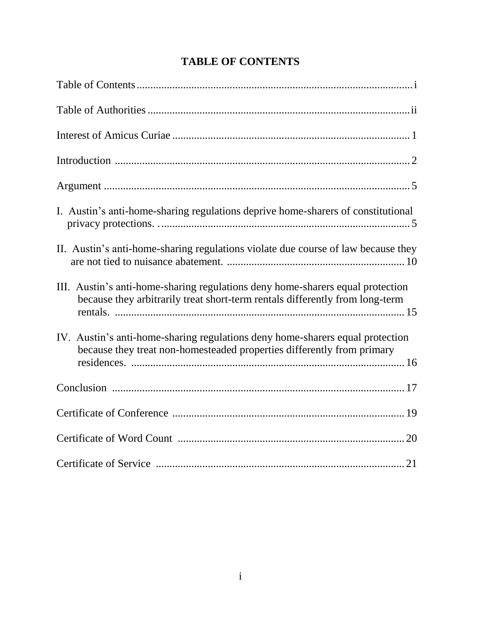| I. Austin's anti-home-sharing regulations deprive home-sharers of constitutional                                                                               |
|----------------------------------------------------------------------------------------------------------------------------------------------------------------|
| II. Austin's anti-home-sharing regulations violate due course of law because they                                                                              |
| III. Austin's anti-home-sharing regulations deny home-sharers equal protection<br>because they arbitrarily treat short-term rentals differently from long-term |
| IV. Austin's anti-home-sharing regulations deny home-sharers equal protection<br>because they treat non-homesteaded properties differently from primary        |
|                                                                                                                                                                |
|                                                                                                                                                                |
|                                                                                                                                                                |
|                                                                                                                                                                |

# **TABLE OF CONTENTS**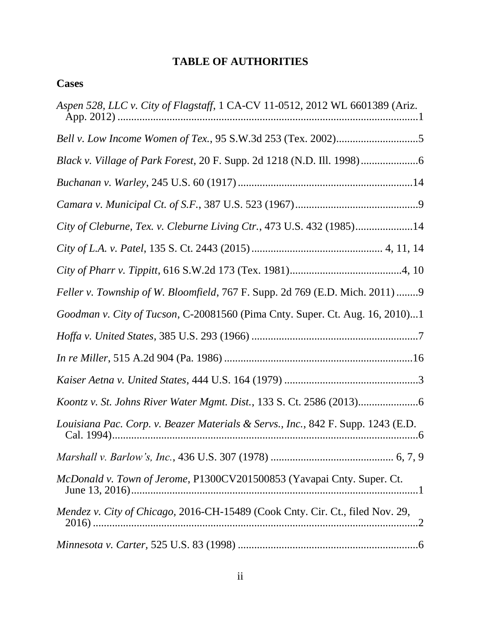# **TABLE OF AUTHORITIES**

| ase<br>œ<br>٦ |
|---------------|
|---------------|

| Aspen 528, LLC v. City of Flagstaff, 1 CA-CV 11-0512, 2012 WL 6601389 (Ariz.     |
|----------------------------------------------------------------------------------|
| Bell v. Low Income Women of Tex., 95 S.W.3d 253 (Tex. 2002)5                     |
|                                                                                  |
|                                                                                  |
|                                                                                  |
| City of Cleburne, Tex. v. Cleburne Living Ctr., 473 U.S. 432 (1985)14            |
|                                                                                  |
|                                                                                  |
| Feller v. Township of W. Bloomfield, 767 F. Supp. 2d 769 (E.D. Mich. 2011) 9     |
| Goodman v. City of Tucson, C-20081560 (Pima Cnty. Super. Ct. Aug. 16, 2010)1     |
|                                                                                  |
|                                                                                  |
|                                                                                  |
|                                                                                  |
| Louisiana Pac. Corp. v. Beazer Materials & Servs., Inc., 842 F. Supp. 1243 (E.D. |
|                                                                                  |
| McDonald v. Town of Jerome, P1300CV201500853 (Yavapai Cnty. Super. Ct.           |
| Mendez v. City of Chicago, 2016-CH-15489 (Cook Cnty. Cir. Ct., filed Nov. 29,    |
|                                                                                  |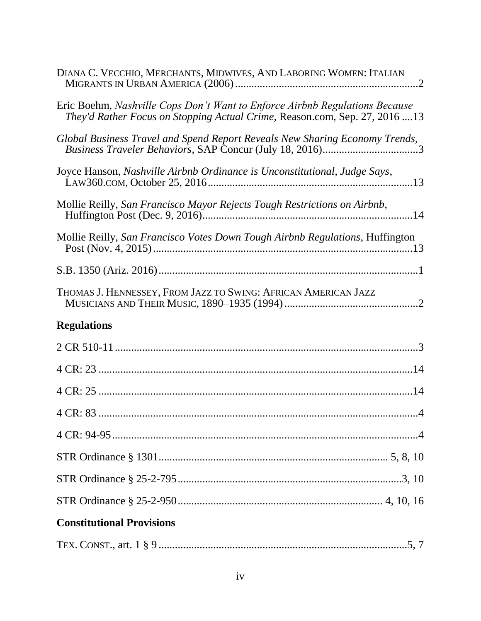| DIANA C. VECCHIO, MERCHANTS, MIDWIVES, AND LABORING WOMEN: ITALIAN                                                                                         |
|------------------------------------------------------------------------------------------------------------------------------------------------------------|
| Eric Boehm, Nashville Cops Don't Want to Enforce Airbnb Regulations Because<br>They'd Rather Focus on Stopping Actual Crime, Reason.com, Sep. 27, 2016  13 |
| Global Business Travel and Spend Report Reveals New Sharing Economy Trends,<br>Business Traveler Behaviors, SAP Concur (July 18, 2016)3                    |
| Joyce Hanson, Nashville Airbnb Ordinance is Unconstitutional, Judge Says,                                                                                  |
| Mollie Reilly, San Francisco Mayor Rejects Tough Restrictions on Airbnb,                                                                                   |
| Mollie Reilly, San Francisco Votes Down Tough Airbnb Regulations, Huffington                                                                               |
|                                                                                                                                                            |
| THOMAS J. HENNESSEY, FROM JAZZ TO SWING: AFRICAN AMERICAN JAZZ                                                                                             |
| <b>Regulations</b>                                                                                                                                         |
|                                                                                                                                                            |
|                                                                                                                                                            |
|                                                                                                                                                            |
|                                                                                                                                                            |
|                                                                                                                                                            |
|                                                                                                                                                            |
|                                                                                                                                                            |
|                                                                                                                                                            |
| <b>Constitutional Provisions</b>                                                                                                                           |
|                                                                                                                                                            |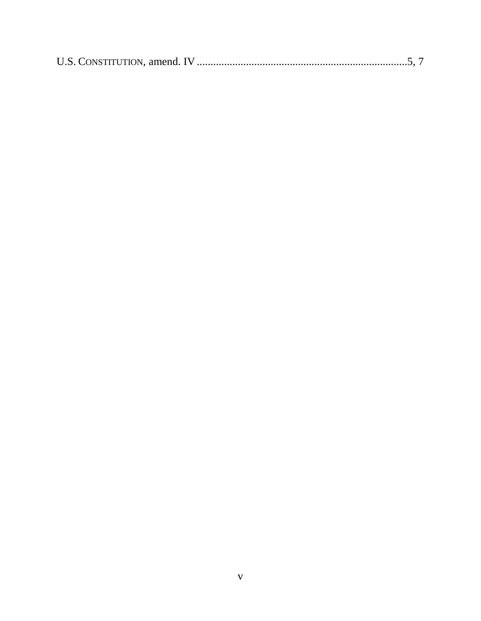|--|--|--|--|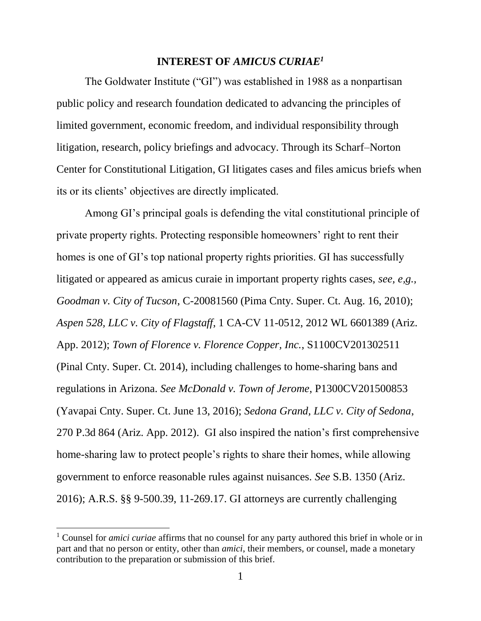## **INTEREST OF** *AMICUS CURIAE<sup>1</sup>*

The Goldwater Institute ("GI") was established in 1988 as a nonpartisan public policy and research foundation dedicated to advancing the principles of limited government, economic freedom, and individual responsibility through litigation, research, policy briefings and advocacy. Through its Scharf–Norton Center for Constitutional Litigation, GI litigates cases and files amicus briefs when its or its clients' objectives are directly implicated.

Among GI's principal goals is defending the vital constitutional principle of private property rights. Protecting responsible homeowners' right to rent their homes is one of GI's top national property rights priorities. GI has successfully litigated or appeared as amicus curaie in important property rights cases, *see, e,g., Goodman v. City of Tucson*, C-20081560 (Pima Cnty. Super. Ct. Aug. 16, 2010); *Aspen 528, LLC v. City of Flagstaff*, 1 CA-CV 11-0512, 2012 WL 6601389 (Ariz. App. 2012); *Town of Florence v. Florence Copper, Inc.*, S1100CV201302511 (Pinal Cnty. Super. Ct. 2014), including challenges to home-sharing bans and regulations in Arizona. *See McDonald v. Town of Jerome*, P1300CV201500853 (Yavapai Cnty. Super. Ct. June 13, 2016); *Sedona Grand, LLC v. City of Sedona*, 270 P.3d 864 (Ariz. App. 2012). GI also inspired the nation's first comprehensive home-sharing law to protect people's rights to share their homes, while allowing government to enforce reasonable rules against nuisances. *See* S.B. 1350 (Ariz. 2016); A.R.S. §§ 9-500.39, 11-269.17. GI attorneys are currently challenging

 $\overline{a}$ 

<sup>1</sup> Counsel for *amici curiae* affirms that no counsel for any party authored this brief in whole or in part and that no person or entity, other than *amici*, their members, or counsel, made a monetary contribution to the preparation or submission of this brief.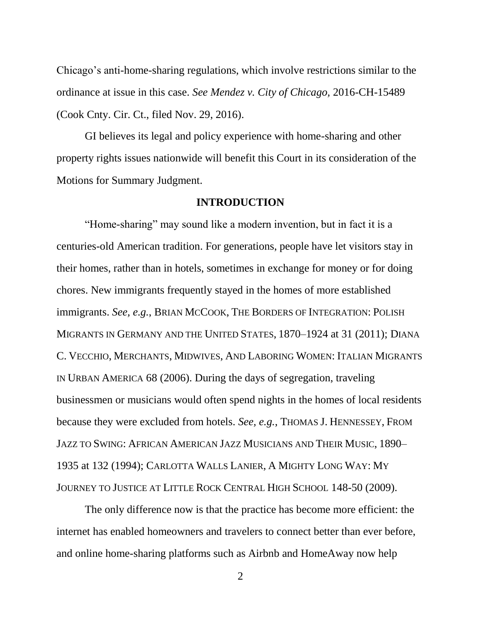Chicago's anti-home-sharing regulations, which involve restrictions similar to the ordinance at issue in this case. *See Mendez v. City of Chicago,* 2016-CH-15489 (Cook Cnty. Cir. Ct., filed Nov. 29, 2016).

GI believes its legal and policy experience with home-sharing and other property rights issues nationwide will benefit this Court in its consideration of the Motions for Summary Judgment.

#### **INTRODUCTION**

"Home-sharing" may sound like a modern invention, but in fact it is a centuries-old American tradition. For generations, people have let visitors stay in their homes, rather than in hotels, sometimes in exchange for money or for doing chores. New immigrants frequently stayed in the homes of more established immigrants. *See, e.g.*, BRIAN MCCOOK, THE BORDERS OF INTEGRATION: POLISH MIGRANTS IN GERMANY AND THE UNITED STATES, 1870–1924 at 31 (2011); DIANA C. VECCHIO, MERCHANTS, MIDWIVES, AND LABORING WOMEN: ITALIAN MIGRANTS IN URBAN AMERICA 68 (2006). During the days of segregation, traveling businessmen or musicians would often spend nights in the homes of local residents because they were excluded from hotels. *See, e.g.*, THOMAS J. HENNESSEY, FROM JAZZ TO SWING: AFRICAN AMERICAN JAZZ MUSICIANS AND THEIR MUSIC, 1890– 1935 at 132 (1994); CARLOTTA WALLS LANIER, A MIGHTY LONG WAY: MY JOURNEY TO JUSTICE AT LITTLE ROCK CENTRAL HIGH SCHOOL 148-50 (2009).

The only difference now is that the practice has become more efficient: the internet has enabled homeowners and travelers to connect better than ever before, and online home-sharing platforms such as Airbnb and HomeAway now help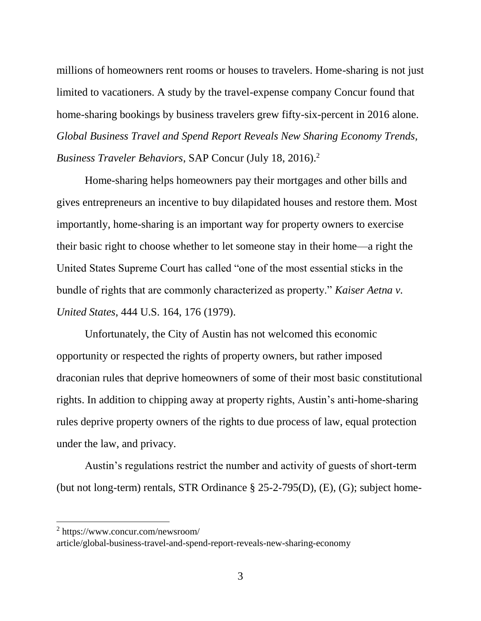millions of homeowners rent rooms or houses to travelers. Home-sharing is not just limited to vacationers. A study by the travel-expense company Concur found that home-sharing bookings by business travelers grew fifty-six-percent in 2016 alone. *Global Business Travel and Spend Report Reveals New Sharing Economy Trends, Business Traveler Behaviors*, SAP Concur (July 18, 2016).<sup>2</sup>

Home-sharing helps homeowners pay their mortgages and other bills and gives entrepreneurs an incentive to buy dilapidated houses and restore them. Most importantly, home-sharing is an important way for property owners to exercise their basic right to choose whether to let someone stay in their home—a right the United States Supreme Court has called "one of the most essential sticks in the bundle of rights that are commonly characterized as property." *Kaiser Aetna v. United States*, 444 U.S. 164, 176 (1979).

Unfortunately, the City of Austin has not welcomed this economic opportunity or respected the rights of property owners, but rather imposed draconian rules that deprive homeowners of some of their most basic constitutional rights. In addition to chipping away at property rights, Austin's anti-home-sharing rules deprive property owners of the rights to due process of law, equal protection under the law, and privacy.

Austin's regulations restrict the number and activity of guests of short-term (but not long-term) rentals, STR Ordinance § 25-2-795(D), (E), (G); subject home-

 $\overline{a}$ 

<sup>2</sup> https://www.concur.com/newsroom/

article/global-business-travel-and-spend-report-reveals-new-sharing-economy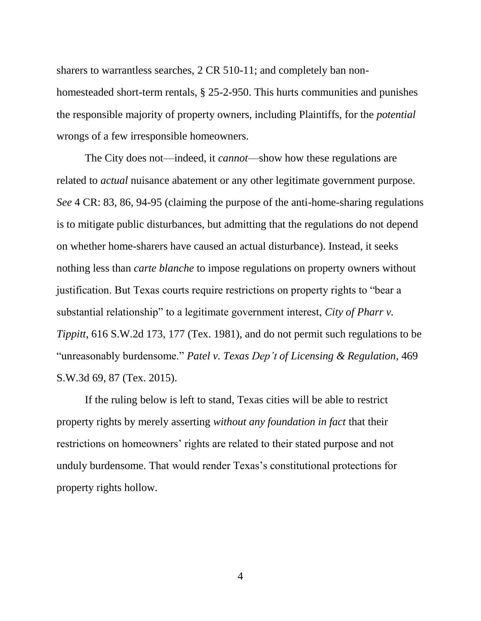sharers to warrantless searches, 2 CR 510-11; and completely ban nonhomesteaded short-term rentals, § 25-2-950. This hurts communities and punishes the responsible majority of property owners, including Plaintiffs, for the *potential* wrongs of a few irresponsible homeowners.

The City does not—indeed, it *cannot*—show how these regulations are related to *actual* nuisance abatement or any other legitimate government purpose. *See* 4 CR: 83, 86, 94-95 (claiming the purpose of the anti-home-sharing regulations is to mitigate public disturbances, but admitting that the regulations do not depend on whether home-sharers have caused an actual disturbance). Instead, it seeks nothing less than *carte blanche* to impose regulations on property owners without justification. But Texas courts require restrictions on property rights to "bear a substantial relationship" to a legitimate government interest, *City of Pharr v. Tippitt*, 616 S.W.2d 173, 177 (Tex. 1981), and do not permit such regulations to be "unreasonably burdensome." *Patel v. Texas Dep't of Licensing & Regulation*, 469 S.W.3d 69, 87 (Tex. 2015).

If the ruling below is left to stand, Texas cities will be able to restrict property rights by merely asserting *without any foundation in fact* that their restrictions on homeowners' rights are related to their stated purpose and not unduly burdensome. That would render Texas's constitutional protections for property rights hollow.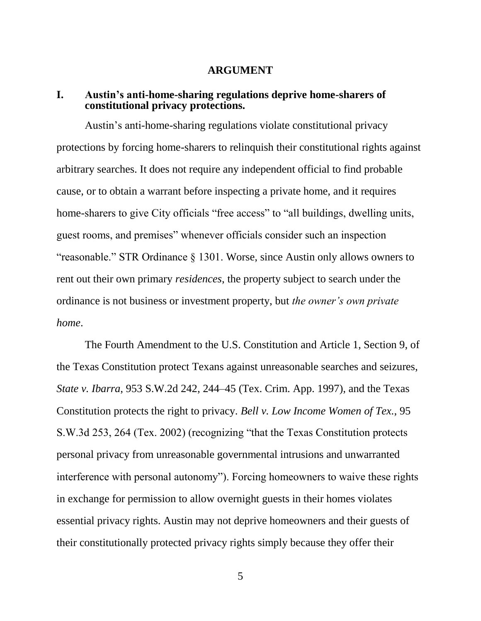#### **ARGUMENT**

## **I. Austin's anti-home-sharing regulations deprive home-sharers of constitutional privacy protections.**

Austin's anti-home-sharing regulations violate constitutional privacy protections by forcing home-sharers to relinquish their constitutional rights against arbitrary searches. It does not require any independent official to find probable cause, or to obtain a warrant before inspecting a private home, and it requires home-sharers to give City officials "free access" to "all buildings, dwelling units, guest rooms, and premises" whenever officials consider such an inspection "reasonable." STR Ordinance § 1301. Worse, since Austin only allows owners to rent out their own primary *residences*, the property subject to search under the ordinance is not business or investment property, but *the owner's own private home*.

The Fourth Amendment to the U.S. Constitution and Article 1, Section 9, of the Texas Constitution protect Texans against unreasonable searches and seizures, *State v. Ibarra*, 953 S.W.2d 242, 244–45 (Tex. Crim. App. 1997), and the Texas Constitution protects the right to privacy. *Bell v. Low Income Women of Tex.*, 95 S.W.3d 253, 264 (Tex. 2002) (recognizing "that the Texas Constitution protects personal privacy from unreasonable governmental intrusions and unwarranted interference with personal autonomy"). Forcing homeowners to waive these rights in exchange for permission to allow overnight guests in their homes violates essential privacy rights. Austin may not deprive homeowners and their guests of their constitutionally protected privacy rights simply because they offer their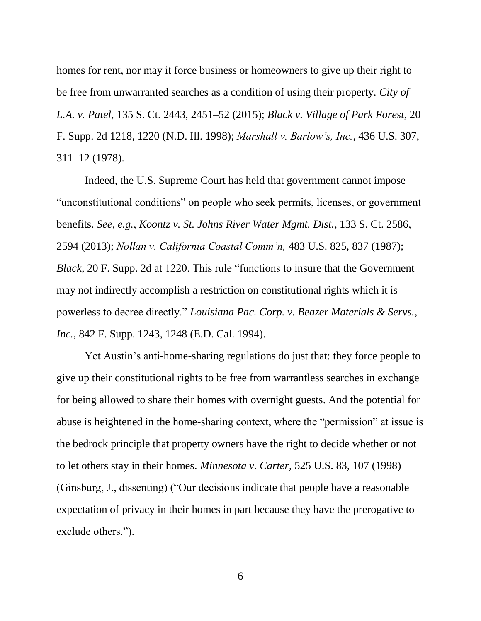homes for rent, nor may it force business or homeowners to give up their right to be free from unwarranted searches as a condition of using their property. *City of L.A. v. Patel*, 135 S. Ct. 2443, 2451–52 (2015); *Black v. Village of Park Forest*, 20 F. Supp. 2d 1218, 1220 (N.D. Ill. 1998); *Marshall v. Barlow's, Inc.*, 436 U.S. 307, 311–12 (1978).

Indeed, the U.S. Supreme Court has held that government cannot impose "unconstitutional conditions" on people who seek permits, licenses, or government benefits. *See, e.g.*, *Koontz v. St. Johns River Water Mgmt. Dist.*, 133 S. Ct. 2586, 2594 (2013); *Nollan v. California Coastal Comm'n,* 483 U.S. 825, 837 (1987); *Black*, 20 F. Supp. 2d at 1220. This rule "functions to insure that the Government may not indirectly accomplish a restriction on constitutional rights which it is powerless to decree directly." *Louisiana Pac. Corp. v. Beazer Materials & Servs., Inc.*, 842 F. Supp. 1243, 1248 (E.D. Cal. 1994).

Yet Austin's anti-home-sharing regulations do just that: they force people to give up their constitutional rights to be free from warrantless searches in exchange for being allowed to share their homes with overnight guests. And the potential for abuse is heightened in the home-sharing context, where the "permission" at issue is the bedrock principle that property owners have the right to decide whether or not to let others stay in their homes. *Minnesota v. Carter,* 525 U.S. 83, 107 (1998) (Ginsburg, J., dissenting) ("Our decisions indicate that people have a reasonable expectation of privacy in their homes in part because they have the prerogative to exclude others.").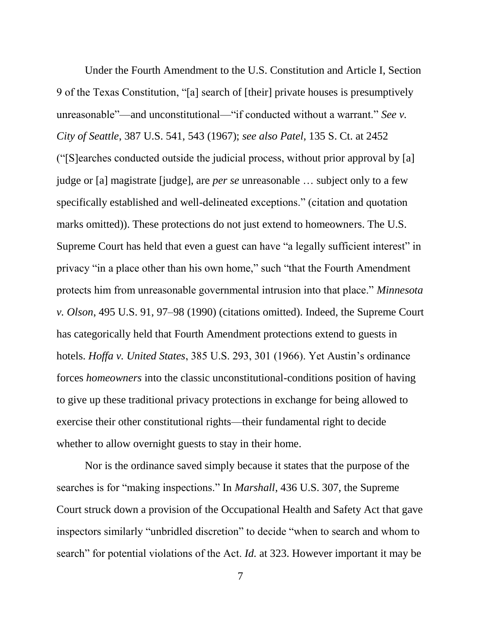Under the Fourth Amendment to the U.S. Constitution and Article I, Section 9 of the Texas Constitution, "[a] search of [their] private houses is presumptively unreasonable"—and unconstitutional—"if conducted without a warrant." *See v. City of Seattle*, 387 U.S. 541, 543 (1967); *see also Patel*, 135 S. Ct. at 2452 ("[S]earches conducted outside the judicial process, without prior approval by [a] judge or [a] magistrate [judge], are *per se* unreasonable … subject only to a few specifically established and well-delineated exceptions." (citation and quotation marks omitted)). These protections do not just extend to homeowners. The U.S. Supreme Court has held that even a guest can have "a legally sufficient interest" in privacy "in a place other than his own home," such "that the Fourth Amendment protects him from unreasonable governmental intrusion into that place." *Minnesota v. Olson*, 495 U.S. 91, 97–98 (1990) (citations omitted). Indeed, the Supreme Court has categorically held that Fourth Amendment protections extend to guests in hotels. *Hoffa v. United States*, 385 U.S. 293, 301 (1966). Yet Austin's ordinance forces *homeowners* into the classic unconstitutional-conditions position of having to give up these traditional privacy protections in exchange for being allowed to exercise their other constitutional rights—their fundamental right to decide whether to allow overnight guests to stay in their home.

Nor is the ordinance saved simply because it states that the purpose of the searches is for "making inspections." In *Marshall*, 436 U.S. 307, the Supreme Court struck down a provision of the Occupational Health and Safety Act that gave inspectors similarly "unbridled discretion" to decide "when to search and whom to search" for potential violations of the Act. *Id.* at 323. However important it may be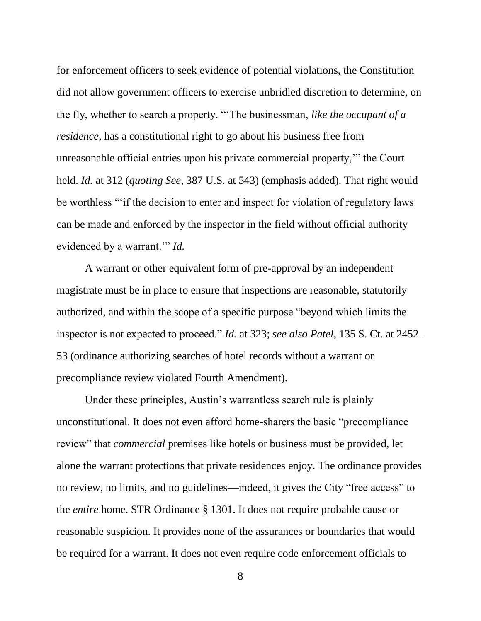for enforcement officers to seek evidence of potential violations, the Constitution did not allow government officers to exercise unbridled discretion to determine, on the fly, whether to search a property. "'The businessman, *like the occupant of a residence*, has a constitutional right to go about his business free from unreasonable official entries upon his private commercial property,'" the Court held. *Id.* at 312 (*quoting See*, 387 U.S. at 543) (emphasis added). That right would be worthless "'if the decision to enter and inspect for violation of regulatory laws can be made and enforced by the inspector in the field without official authority evidenced by a warrant.'" *Id.* 

A warrant or other equivalent form of pre-approval by an independent magistrate must be in place to ensure that inspections are reasonable, statutorily authorized, and within the scope of a specific purpose "beyond which limits the inspector is not expected to proceed." *Id.* at 323; *see also Patel*, 135 S. Ct. at 2452– 53 (ordinance authorizing searches of hotel records without a warrant or precompliance review violated Fourth Amendment).

Under these principles, Austin's warrantless search rule is plainly unconstitutional. It does not even afford home-sharers the basic "precompliance review" that *commercial* premises like hotels or business must be provided, let alone the warrant protections that private residences enjoy. The ordinance provides no review, no limits, and no guidelines—indeed, it gives the City "free access" to the *entire* home. STR Ordinance § 1301. It does not require probable cause or reasonable suspicion. It provides none of the assurances or boundaries that would be required for a warrant. It does not even require code enforcement officials to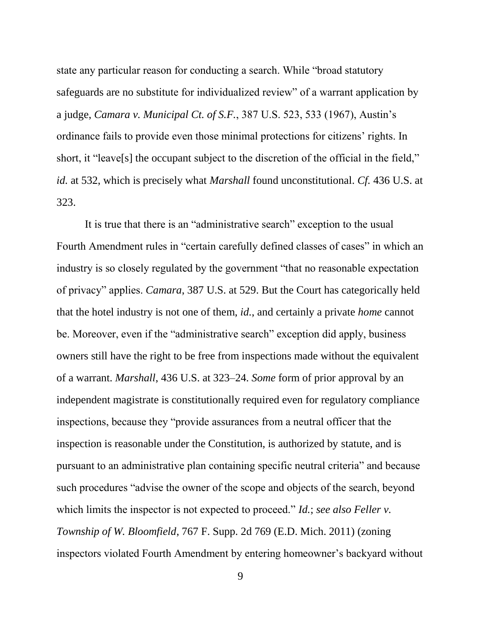state any particular reason for conducting a search. While "broad statutory safeguards are no substitute for individualized review" of a warrant application by a judge, *Camara v. Municipal Ct. of S.F.*, 387 U.S. 523, 533 (1967), Austin's ordinance fails to provide even those minimal protections for citizens' rights. In short, it "leave<sup>[s]</sup> the occupant subject to the discretion of the official in the field," *id.* at 532, which is precisely what *Marshall* found unconstitutional. *Cf.* 436 U.S. at 323.

It is true that there is an "administrative search" exception to the usual Fourth Amendment rules in "certain carefully defined classes of cases" in which an industry is so closely regulated by the government "that no reasonable expectation of privacy" applies. *Camara*, 387 U.S. at 529. But the Court has categorically held that the hotel industry is not one of them, *id.*, and certainly a private *home* cannot be. Moreover, even if the "administrative search" exception did apply, business owners still have the right to be free from inspections made without the equivalent of a warrant. *Marshall*, 436 U.S. at 323–24. *Some* form of prior approval by an independent magistrate is constitutionally required even for regulatory compliance inspections, because they "provide assurances from a neutral officer that the inspection is reasonable under the Constitution, is authorized by statute, and is pursuant to an administrative plan containing specific neutral criteria" and because such procedures "advise the owner of the scope and objects of the search, beyond which limits the inspector is not expected to proceed." *Id.*; *see also Feller v. Township of W. Bloomfield*, 767 F. Supp. 2d 769 (E.D. Mich. 2011) (zoning inspectors violated Fourth Amendment by entering homeowner's backyard without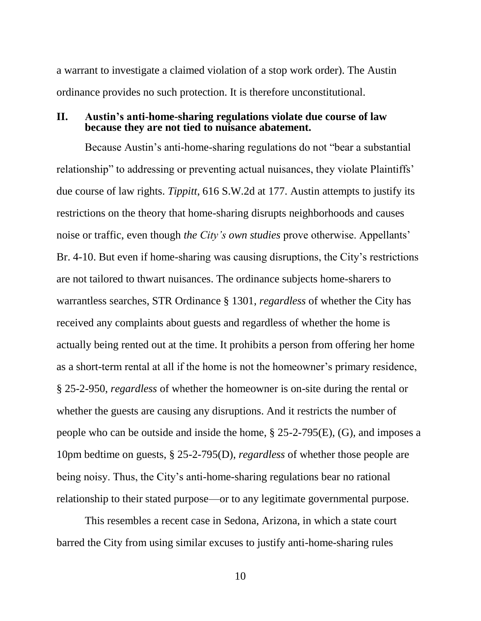a warrant to investigate a claimed violation of a stop work order). The Austin ordinance provides no such protection. It is therefore unconstitutional.

## **II. Austin's anti-home-sharing regulations violate due course of law because they are not tied to nuisance abatement.**

Because Austin's anti-home-sharing regulations do not "bear a substantial relationship" to addressing or preventing actual nuisances, they violate Plaintiffs' due course of law rights. *Tippitt*, 616 S.W.2d at 177. Austin attempts to justify its restrictions on the theory that home-sharing disrupts neighborhoods and causes noise or traffic, even though *the City's own studies* prove otherwise. Appellants' Br. 4-10. But even if home-sharing was causing disruptions, the City's restrictions are not tailored to thwart nuisances. The ordinance subjects home-sharers to warrantless searches, STR Ordinance § 1301, *regardless* of whether the City has received any complaints about guests and regardless of whether the home is actually being rented out at the time. It prohibits a person from offering her home as a short-term rental at all if the home is not the homeowner's primary residence, § 25-2-950, *regardless* of whether the homeowner is on-site during the rental or whether the guests are causing any disruptions. And it restricts the number of people who can be outside and inside the home, § 25-2-795(E), (G), and imposes a 10pm bedtime on guests, § 25-2-795(D), *regardless* of whether those people are being noisy. Thus, the City's anti-home-sharing regulations bear no rational relationship to their stated purpose—or to any legitimate governmental purpose.

This resembles a recent case in Sedona, Arizona, in which a state court barred the City from using similar excuses to justify anti-home-sharing rules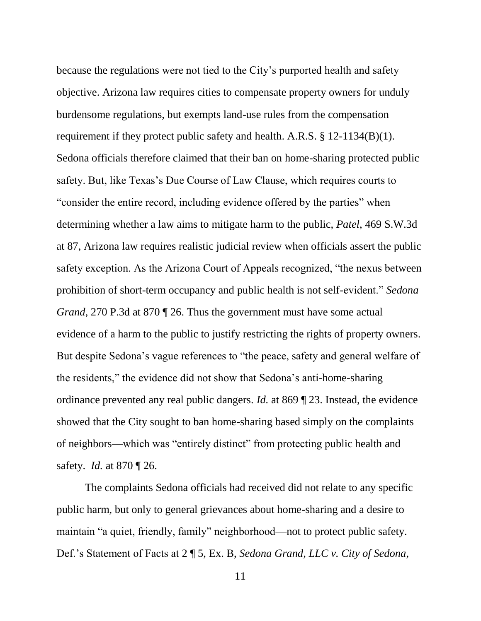because the regulations were not tied to the City's purported health and safety objective. Arizona law requires cities to compensate property owners for unduly burdensome regulations, but exempts land-use rules from the compensation requirement if they protect public safety and health. A.R.S. § 12-1134(B)(1). Sedona officials therefore claimed that their ban on home-sharing protected public safety. But, like Texas's Due Course of Law Clause, which requires courts to "consider the entire record, including evidence offered by the parties" when determining whether a law aims to mitigate harm to the public, *Patel*, 469 S.W.3d at 87, Arizona law requires realistic judicial review when officials assert the public safety exception. As the Arizona Court of Appeals recognized, "the nexus between prohibition of short-term occupancy and public health is not self-evident." *Sedona Grand*, 270 P.3d at 870 ¶ 26. Thus the government must have some actual evidence of a harm to the public to justify restricting the rights of property owners. But despite Sedona's vague references to "the peace, safety and general welfare of the residents," the evidence did not show that Sedona's anti-home-sharing ordinance prevented any real public dangers. *Id.* at 869 ¶ 23. Instead, the evidence showed that the City sought to ban home-sharing based simply on the complaints of neighbors—which was "entirely distinct" from protecting public health and safety. *Id.* at 870 ¶ 26.

The complaints Sedona officials had received did not relate to any specific public harm, but only to general grievances about home-sharing and a desire to maintain "a quiet, friendly, family" neighborhood—not to protect public safety. Def.'s Statement of Facts at 2 ¶ 5, Ex. B, *Sedona Grand, LLC v. City of Sedona*,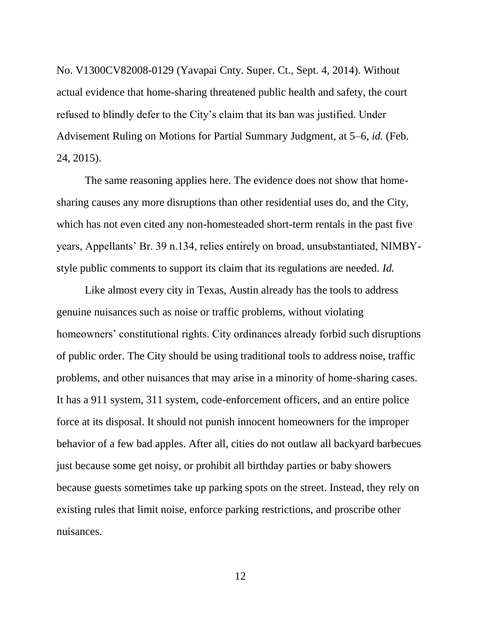No. V1300CV82008-0129 (Yavapai Cnty. Super. Ct., Sept. 4, 2014). Without actual evidence that home-sharing threatened public health and safety, the court refused to blindly defer to the City's claim that its ban was justified. Under Advisement Ruling on Motions for Partial Summary Judgment, at 5–6, *id.* (Feb. 24, 2015).

The same reasoning applies here. The evidence does not show that homesharing causes any more disruptions than other residential uses do, and the City, which has not even cited any non-homesteaded short-term rentals in the past five years, Appellants' Br. 39 n.134, relies entirely on broad, unsubstantiated, NIMBYstyle public comments to support its claim that its regulations are needed. *Id.*

Like almost every city in Texas, Austin already has the tools to address genuine nuisances such as noise or traffic problems, without violating homeowners' constitutional rights. City ordinances already forbid such disruptions of public order. The City should be using traditional tools to address noise, traffic problems, and other nuisances that may arise in a minority of home-sharing cases. It has a 911 system, 311 system, code-enforcement officers, and an entire police force at its disposal. It should not punish innocent homeowners for the improper behavior of a few bad apples. After all, cities do not outlaw all backyard barbecues just because some get noisy, or prohibit all birthday parties or baby showers because guests sometimes take up parking spots on the street. Instead, they rely on existing rules that limit noise, enforce parking restrictions, and proscribe other nuisances.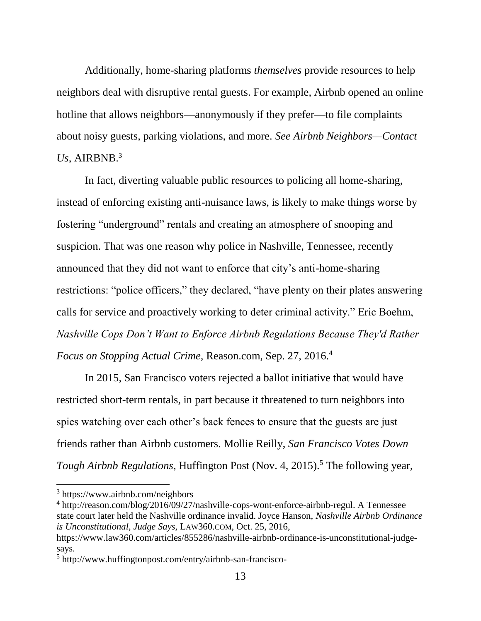Additionally, home-sharing platforms *themselves* provide resources to help neighbors deal with disruptive rental guests. For example, Airbnb opened an online hotline that allows neighbors—anonymously if they prefer—to file complaints about noisy guests, parking violations, and more. *See Airbnb Neighbors—Contact*  Us, AIRBNB.<sup>3</sup>

In fact, diverting valuable public resources to policing all home-sharing, instead of enforcing existing anti-nuisance laws, is likely to make things worse by fostering "underground" rentals and creating an atmosphere of snooping and suspicion. That was one reason why police in Nashville, Tennessee, recently announced that they did not want to enforce that city's anti-home-sharing restrictions: "police officers," they declared, "have plenty on their plates answering calls for service and proactively working to deter criminal activity." Eric Boehm, *Nashville Cops Don't Want to Enforce Airbnb Regulations Because They'd Rather Focus on Stopping Actual Crime,* Reason.com, Sep. 27, 2016.<sup>4</sup>

In 2015, San Francisco voters rejected a ballot initiative that would have restricted short-term rentals, in part because it threatened to turn neighbors into spies watching over each other's back fences to ensure that the guests are just friends rather than Airbnb customers. Mollie Reilly, *San Francisco Votes Down Tough Airbnb Regulations*, Huffington Post (Nov. 4, 2015).<sup>5</sup> The following year,

 $\overline{a}$ 

<sup>3</sup> https://www.airbnb.com/neighbors

<sup>&</sup>lt;sup>4</sup> [http://reason.com/blog/2016/09/27/nashville-cops-wont-enforce-airbnb-regul.](http://reason.com/blog/2016/09/27/nashville-cops-wont-enforce-airbnb-regul) A Tennessee state court later held the Nashville ordinance invalid. Joyce Hanson, *Nashville Airbnb Ordinance is Unconstitutional, Judge Says,* LAW360.COM, Oct. 25, 2016,

https://www.law360.com/articles/855286/nashville-airbnb-ordinance-is-unconstitutional-judgesays.

<sup>5</sup> [http://www.huffingtonpost.com/entry/airbnb-san-francisco-](http://www.huffingtonpost.com/entry/airbnb-san-francisco-vote_us_5637d49ae4b027f9b969ac7c)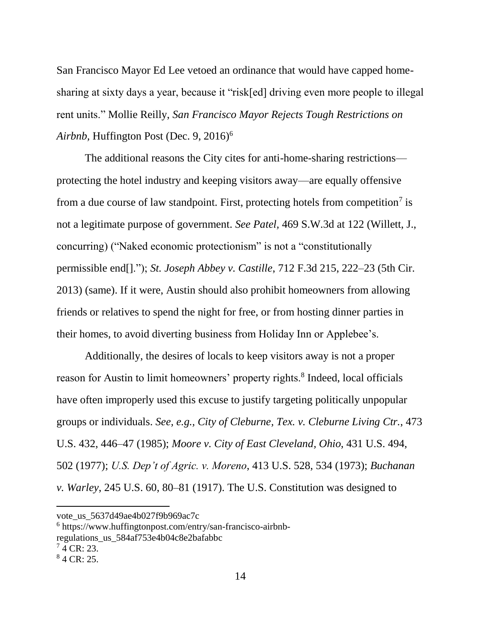San Francisco Mayor Ed Lee vetoed an ordinance that would have capped homesharing at sixty days a year, because it "risk[ed] driving even more people to illegal rent units." Mollie Reilly, *San Francisco Mayor Rejects Tough Restrictions on Airbnb,* Huffington Post (Dec. 9, 2016)<sup>6</sup>

The additional reasons the City cites for anti-home-sharing restrictions protecting the hotel industry and keeping visitors away—are equally offensive from a due course of law standpoint. First, protecting hotels from competition<sup>7</sup> is not a legitimate purpose of government. *See Patel,* 469 S.W.3d at 122 (Willett, J., concurring) ("Naked economic protectionism" is not a "constitutionally permissible end[]."); *St. Joseph Abbey v. Castille*, 712 F.3d 215, 222–23 (5th Cir. 2013) (same). If it were, Austin should also prohibit homeowners from allowing friends or relatives to spend the night for free, or from hosting dinner parties in their homes, to avoid diverting business from Holiday Inn or Applebee's.

Additionally, the desires of locals to keep visitors away is not a proper reason for Austin to limit homeowners' property rights.<sup>8</sup> Indeed, local officials have often improperly used this excuse to justify targeting politically unpopular groups or individuals. *See, e.g., City of Cleburne, Tex. v. Cleburne Living Ctr.*, 473 U.S. 432, 446–47 (1985); *Moore v. City of East Cleveland, Ohio*, 431 U.S. 494, 502 (1977); *U.S. Dep't of Agric. v. Moreno*, 413 U.S. 528, 534 (1973); *Buchanan v. Warley*, 245 U.S. 60, 80–81 (1917). The U.S. Constitution was designed to

6 https://www.huffingtonpost.com/entry/san-francisco-airbnbregulations\_us\_584af753e4b04c8e2bafabbc

 $\overline{\phantom{a}}$ 

[vote\\_us\\_5637d49ae4b027f9b969ac7c](http://www.huffingtonpost.com/entry/airbnb-san-francisco-vote_us_5637d49ae4b027f9b969ac7c)

 $7$  4 CR: 23.

 $84$  CR: 25.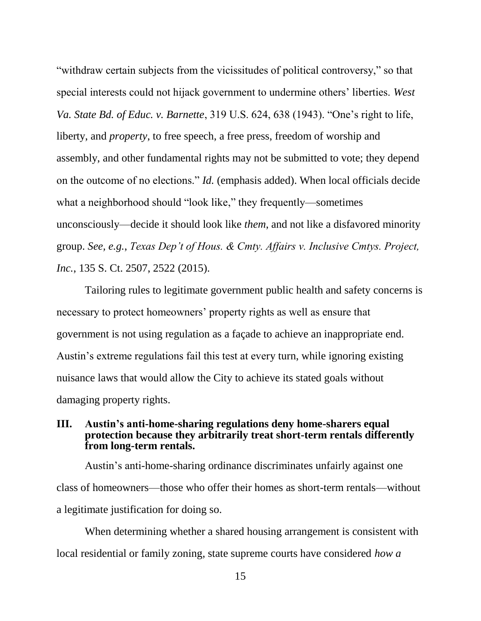"withdraw certain subjects from the vicissitudes of political controversy," so that special interests could not hijack government to undermine others' liberties. *West Va. State Bd. of Educ. v. Barnette*, 319 U.S. 624, 638 (1943). "One's right to life, liberty, and *property*, to free speech, a free press, freedom of worship and assembly, and other fundamental rights may not be submitted to vote; they depend on the outcome of no elections." *Id.* (emphasis added). When local officials decide what a neighborhood should "look like," they frequently—sometimes unconsciously—decide it should look like *them*, and not like a disfavored minority group. *See, e.g.*, *Texas Dep't of Hous. & Cmty. Affairs v. Inclusive Cmtys. Project, Inc.*, 135 S. Ct. 2507, 2522 (2015).

Tailoring rules to legitimate government public health and safety concerns is necessary to protect homeowners' property rights as well as ensure that government is not using regulation as a façade to achieve an inappropriate end. Austin's extreme regulations fail this test at every turn, while ignoring existing nuisance laws that would allow the City to achieve its stated goals without damaging property rights.

## **III. Austin's anti-home-sharing regulations deny home-sharers equal protection because they arbitrarily treat short-term rentals differently from long-term rentals.**

Austin's anti-home-sharing ordinance discriminates unfairly against one class of homeowners—those who offer their homes as short-term rentals—without a legitimate justification for doing so.

When determining whether a shared housing arrangement is consistent with local residential or family zoning, state supreme courts have considered *how a*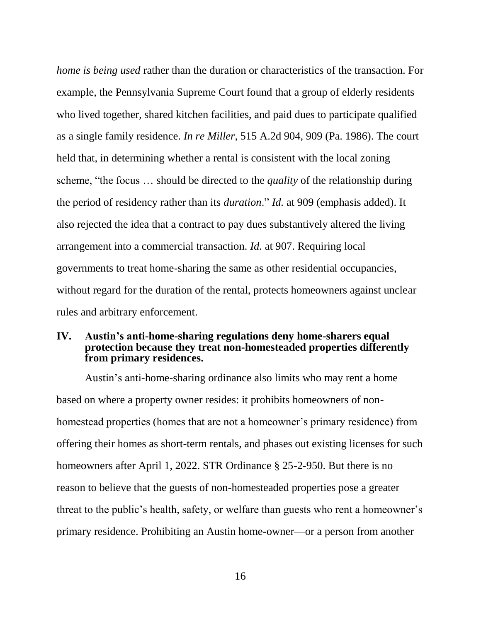*home is being used* rather than the duration or characteristics of the transaction. For example, the Pennsylvania Supreme Court found that a group of elderly residents who lived together, shared kitchen facilities, and paid dues to participate qualified as a single family residence. *In re Miller*, 515 A.2d 904, 909 (Pa. 1986). The court held that, in determining whether a rental is consistent with the local zoning scheme, "the focus … should be directed to the *quality* of the relationship during the period of residency rather than its *duration*." *Id.* at 909 (emphasis added). It also rejected the idea that a contract to pay dues substantively altered the living arrangement into a commercial transaction. *Id.* at 907. Requiring local governments to treat home-sharing the same as other residential occupancies, without regard for the duration of the rental, protects homeowners against unclear rules and arbitrary enforcement.

## **IV. Austin's anti-home-sharing regulations deny home-sharers equal protection because they treat non-homesteaded properties differently from primary residences.**

Austin's anti-home-sharing ordinance also limits who may rent a home based on where a property owner resides: it prohibits homeowners of nonhomestead properties (homes that are not a homeowner's primary residence) from offering their homes as short-term rentals, and phases out existing licenses for such homeowners after April 1, 2022. STR Ordinance § 25-2-950. But there is no reason to believe that the guests of non-homesteaded properties pose a greater threat to the public's health, safety, or welfare than guests who rent a homeowner's primary residence. Prohibiting an Austin home-owner—or a person from another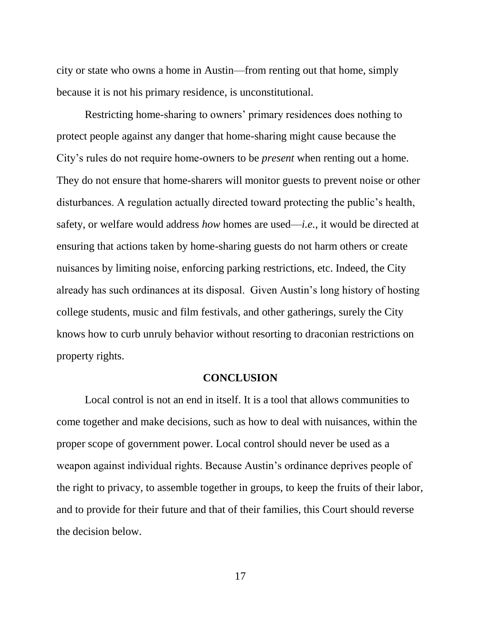city or state who owns a home in Austin—from renting out that home, simply because it is not his primary residence, is unconstitutional.

Restricting home-sharing to owners' primary residences does nothing to protect people against any danger that home-sharing might cause because the City's rules do not require home-owners to be *present* when renting out a home. They do not ensure that home-sharers will monitor guests to prevent noise or other disturbances. A regulation actually directed toward protecting the public's health, safety, or welfare would address *how* homes are used—*i.e.*, it would be directed at ensuring that actions taken by home-sharing guests do not harm others or create nuisances by limiting noise, enforcing parking restrictions, etc. Indeed, the City already has such ordinances at its disposal. Given Austin's long history of hosting college students, music and film festivals, and other gatherings, surely the City knows how to curb unruly behavior without resorting to draconian restrictions on property rights.

#### **CONCLUSION**

Local control is not an end in itself. It is a tool that allows communities to come together and make decisions, such as how to deal with nuisances, within the proper scope of government power. Local control should never be used as a weapon against individual rights. Because Austin's ordinance deprives people of the right to privacy, to assemble together in groups, to keep the fruits of their labor, and to provide for their future and that of their families, this Court should reverse the decision below.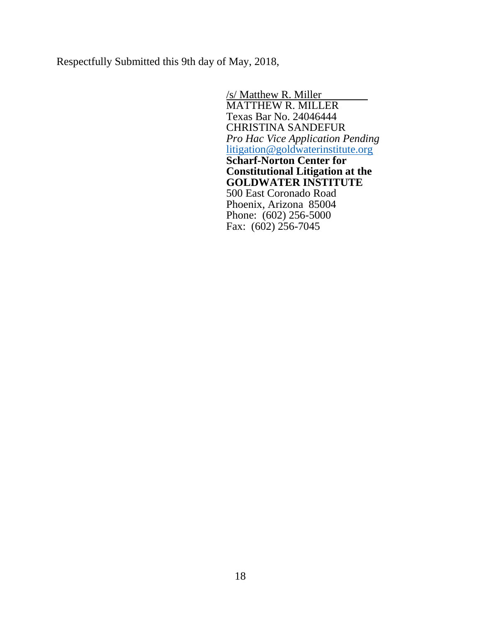Respectfully Submitted this 9th day of May, 2018,

/s/ Matthew R. Miller MATTHEW R. MILLER Texas Bar No. 24046444 CHRISTINA SANDEFUR *Pro Hac Vice Application Pending* [litigation@goldwaterinstitute.org](mailto:litigation@goldwaterinstitute.org) **Scharf-Norton Center for Constitutional Litigation at the GOLDWATER INSTITUTE** 500 East Coronado Road Phoenix, Arizona 85004 Phone: (602) 256-5000 Fax: (602) 256-7045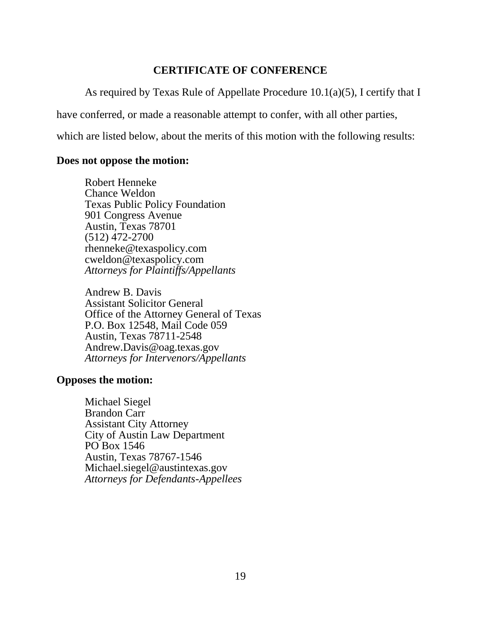# **CERTIFICATE OF CONFERENCE**

As required by Texas Rule of Appellate Procedure 10.1(a)(5), I certify that I

have conferred, or made a reasonable attempt to confer, with all other parties,

which are listed below, about the merits of this motion with the following results:

# **Does not oppose the motion:**

Robert Henneke Chance Weldon Texas Public Policy Foundation 901 Congress Avenue Austin, Texas 78701 (512) 472-2700 [rhenneke@texaspolicy.com](mailto:rhenneke@texaspolicy.com) [cweldon@texaspolicy.com](mailto:cweldon@texaspolicy.com) *Attorneys for Plaintiffs/Appellants*

Andrew B. Davis Assistant Solicitor General Office of the Attorney General of Texas P.O. Box 12548, Mail Code 059 Austin, Texas 78711-2548 Andrew.Davis@oag.texas.gov *Attorneys for Intervenors/Appellants*

## **Opposes the motion:**

Michael Siegel Brandon Carr Assistant City Attorney City of Austin Law Department PO Box 1546 Austin, Texas 78767-1546 Michael.siegel@austintexas.gov *Attorneys for Defendants-Appellees*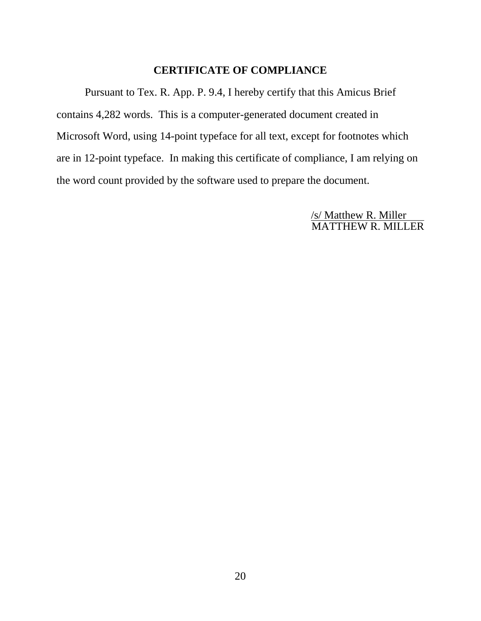# **CERTIFICATE OF COMPLIANCE**

Pursuant to Tex. R. App. P. 9.4, I hereby certify that this Amicus Brief contains 4,282 words. This is a computer-generated document created in Microsoft Word, using 14-point typeface for all text, except for footnotes which are in 12-point typeface. In making this certificate of compliance, I am relying on the word count provided by the software used to prepare the document.

> /s/ Matthew R. Miller MATTHEW R. MILLER